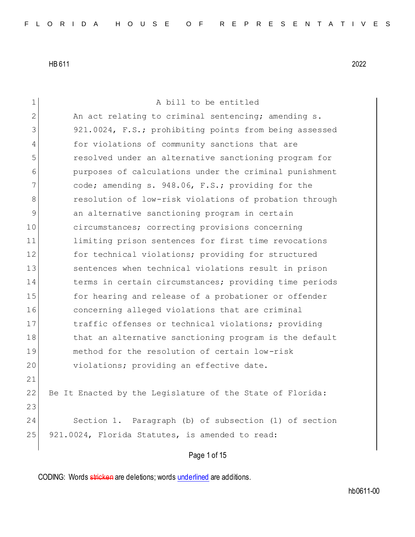Page 1 of 15 1 A bill to be entitled 2 An act relating to criminal sentencing; amending s. 3 921.0024, F.S.; prohibiting points from being assessed 4 for violations of community sanctions that are 5 resolved under an alternative sanctioning program for 6 purposes of calculations under the criminal punishment 7 code; amending s. 948.06, F.S.; providing for the 8 resolution of low-risk violations of probation through 9 an alternative sanctioning program in certain 10 circumstances; correcting provisions concerning 11 limiting prison sentences for first time revocations 12 for technical violations; providing for structured 13 sentences when technical violations result in prison 14 terms in certain circumstances; providing time periods 15 for hearing and release of a probationer or offender 16 concerning alleged violations that are criminal 17 17 traffic offenses or technical violations; providing 18 that an alternative sanctioning program is the default 19 method for the resolution of certain low-risk 20 violations; providing an effective date. 21 22 Be It Enacted by the Legislature of the State of Florida: 23 24 Section 1. Paragraph (b) of subsection (1) of section 25 921.0024, Florida Statutes, is amended to read: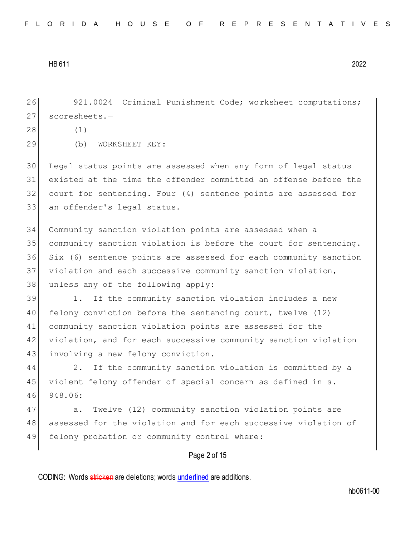26 921.0024 Criminal Punishment Code; worksheet computations; 27 scoresheets.-

| 28 |
|----|
|----|

29 (b) WORKSHEET KEY:

 $(1)$ 

 Legal status points are assessed when any form of legal status existed at the time the offender committed an offense before the court for sentencing. Four (4) sentence points are assessed for 33 an offender's legal status.

34 Community sanction violation points are assessed when a 35 community sanction violation is before the court for sentencing. 36 Six (6) sentence points are assessed for each community sanction 37 violation and each successive community sanction violation, 38 unless any of the following apply:

39 1. If the community sanction violation includes a new 40 felony conviction before the sentencing court, twelve (12) 41 community sanction violation points are assessed for the 42 violation, and for each successive community sanction violation 43 involving a new felony conviction.

44 2. If the community sanction violation is committed by a 45 violent felony offender of special concern as defined in s. 46 948.06:

47 a. Twelve (12) community sanction violation points are 48 assessed for the violation and for each successive violation of 49 felony probation or community control where:

# Page 2 of 15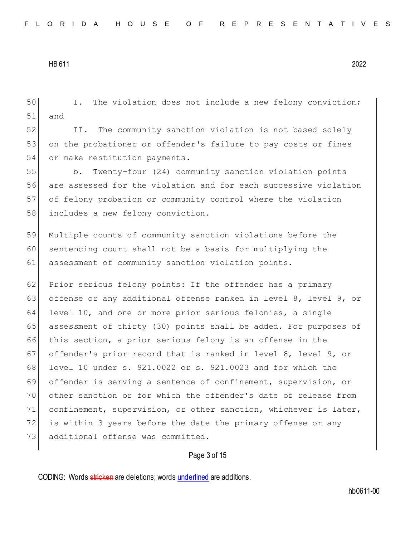50 I. The violation does not include a new felony conviction; 51 and 52 II. The community sanction violation is not based solely 53 on the probationer or offender's failure to pay costs or fines 54 or make restitution payments. 55 b. Twenty-four (24) community sanction violation points 56 are assessed for the violation and for each successive violation 57 of felony probation or community control where the violation 58 includes a new felony conviction. 59 Multiple counts of community sanction violations before the 60 sentencing court shall not be a basis for multiplying the 61 assessment of community sanction violation points. 62 Prior serious felony points: If the offender has a primary 63 offense or any additional offense ranked in level 8, level 9, or 64 level 10, and one or more prior serious felonies, a single 65 assessment of thirty (30) points shall be added. For purposes of 66 this section, a prior serious felony is an offense in the 67 offender's prior record that is ranked in level 8, level 9, or 68 level 10 under s. 921.0022 or s. 921.0023 and for which the 69 offender is serving a sentence of confinement, supervision, or 70 other sanction or for which the offender's date of release from 71 confinement, supervision, or other sanction, whichever is later, 72 is within 3 years before the date the primary offense or any 73 additional offense was committed.

#### Page 3 of 15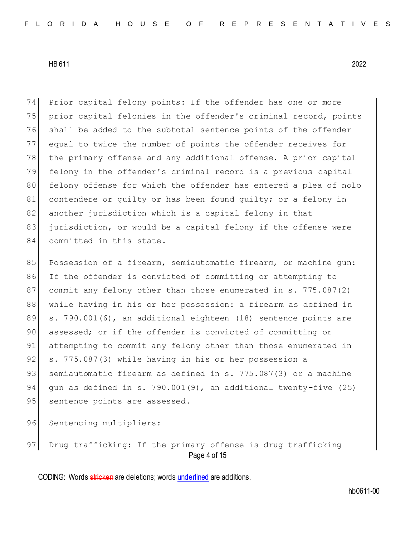74 Prior capital felony points: If the offender has one or more 75 prior capital felonies in the offender's criminal record, points 76 shall be added to the subtotal sentence points of the offender 77 equal to twice the number of points the offender receives for 78 the primary offense and any additional offense. A prior capital 79 felony in the offender's criminal record is a previous capital 80 felony offense for which the offender has entered a plea of nolo 81 contendere or quilty or has been found quilty; or a felony in 82 another jurisdiction which is a capital felony in that 83 jurisdiction, or would be a capital felony if the offense were 84 committed in this state.

85 Possession of a firearm, semiautomatic firearm, or machine gun: 86 If the offender is convicted of committing or attempting to 87 commit any felony other than those enumerated in s. 775.087(2) 88 while having in his or her possession: a firearm as defined in 89 s. 790.001(6), an additional eighteen (18) sentence points are 90 assessed; or if the offender is convicted of committing or 91 attempting to commit any felony other than those enumerated in 92 s. 775.087(3) while having in his or her possession a 93 semiautomatic firearm as defined in s. 775.087(3) or a machine 94 gun as defined in s. 790.001(9), an additional twenty-five (25) 95 | sentence points are assessed.

96 Sentencing multipliers:

Page 4 of 15 97 Drug trafficking: If the primary offense is drug trafficking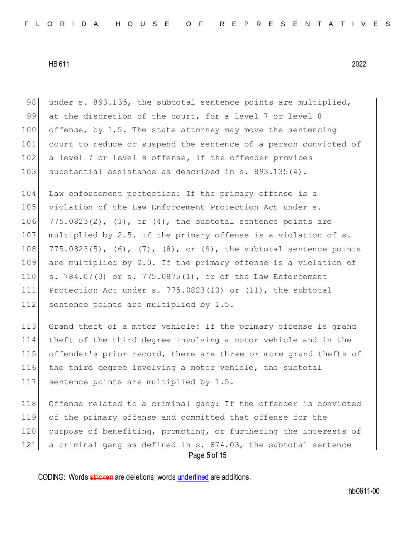98 under s. 893.135, the subtotal sentence points are multiplied, 99 at the discretion of the court, for a level 7 or level 8 100 offense, by 1.5. The state attorney may move the sentencing 101 court to reduce or suspend the sentence of a person convicted of 102 a level 7 or level 8 offense, if the offender provides 103 substantial assistance as described in s. 893.135(4).

 Law enforcement protection: If the primary offense is a 105 violation of the Law Enforcement Protection Act under s.  $775.0823(2)$ ,  $(3)$ , or  $(4)$ , the subtotal sentence points are 107 multiplied by 2.5. If the primary offense is a violation of s.  $775.0823(5)$ ,  $(6)$ ,  $(7)$ ,  $(8)$ , or  $(9)$ , the subtotal sentence points are multiplied by 2.0. If the primary offense is a violation of s. 784.07(3) or s. 775.0875(1), or of the Law Enforcement Protection Act under s. 775.0823(10) or (11), the subtotal 112 sentence points are multiplied by 1.5.

 Grand theft of a motor vehicle: If the primary offense is grand theft of the third degree involving a motor vehicle and in the offender's prior record, there are three or more grand thefts of the third degree involving a motor vehicle, the subtotal 117 sentence points are multiplied by 1.5.

Page 5 of 15 118 Offense related to a criminal gang: If the offender is convicted 119 of the primary offense and committed that offense for the 120 purpose of benefiting, promoting, or furthering the interests of 121 a criminal gang as defined in s. 874.03, the subtotal sentence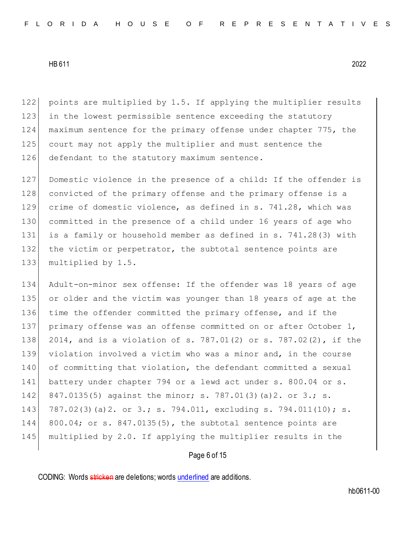122 points are multiplied by 1.5. If applying the multiplier results 123 in the lowest permissible sentence exceeding the statutory 124 maximum sentence for the primary offense under chapter 775, the 125 court may not apply the multiplier and must sentence the 126 defendant to the statutory maximum sentence.

127 Domestic violence in the presence of a child: If the offender is 128 convicted of the primary offense and the primary offense is a 129 crime of domestic violence, as defined in s. 741.28, which was 130 committed in the presence of a child under 16 years of age who 131 is a family or household member as defined in s. 741.28(3) with 132 the victim or perpetrator, the subtotal sentence points are 133 multiplied by 1.5.

 Adult-on-minor sex offense: If the offender was 18 years of age or older and the victim was younger than 18 years of age at the 136 time the offender committed the primary offense, and if the 137 primary offense was an offense committed on or after October 1, 2014, and is a violation of s. 787.01(2) or s. 787.02(2), if the violation involved a victim who was a minor and, in the course of committing that violation, the defendant committed a sexual battery under chapter 794 or a lewd act under s. 800.04 or s. 142 847.0135(5) against the minor; s. 787.01(3)(a)2. or 3.; s. 787.02(3)(a)2. or 3.; s. 794.011, excluding s. 794.011(10); s. 800.04; or s. 847.0135(5), the subtotal sentence points are multiplied by 2.0. If applying the multiplier results in the

## Page 6 of 15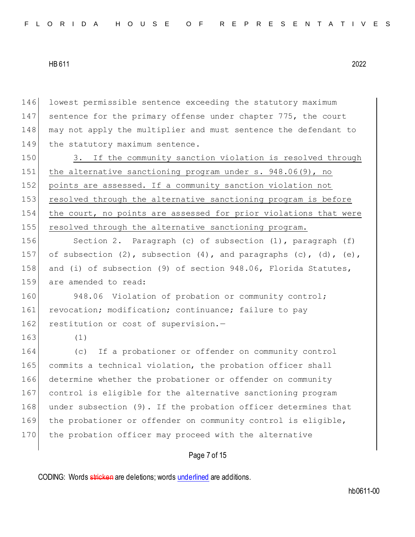146 lowest permissible sentence exceeding the statutory maximum 147 sentence for the primary offense under chapter 775, the court 148 may not apply the multiplier and must sentence the defendant to 149 the statutory maximum sentence. 150 3. If the community sanction violation is resolved through

151 the alternative sanctioning program under s. 948.06(9), no 152 points are assessed. If a community sanction violation not 153 resolved through the alternative sanctioning program is before 154 the court, no points are assessed for prior violations that were 155 resolved through the alternative sanctioning program.

156 Section 2. Paragraph (c) of subsection (1), paragraph (f) 157 of subsection (2), subsection (4), and paragraphs (c), (d), (e), 158 and (i) of subsection (9) of section 948.06, Florida Statutes, 159 are amended to read:

160 948.06 Violation of probation or community control; 161 revocation; modification; continuance; failure to pay 162 restitution or cost of supervision.-

163 (1)

164 (c) If a probationer or offender on community control 165 commits a technical violation, the probation officer shall 166 determine whether the probationer or offender on community 167 control is eligible for the alternative sanctioning program 168 under subsection (9). If the probation officer determines that 169 the probationer or offender on community control is eligible, 170 the probation officer may proceed with the alternative

Page 7 of 15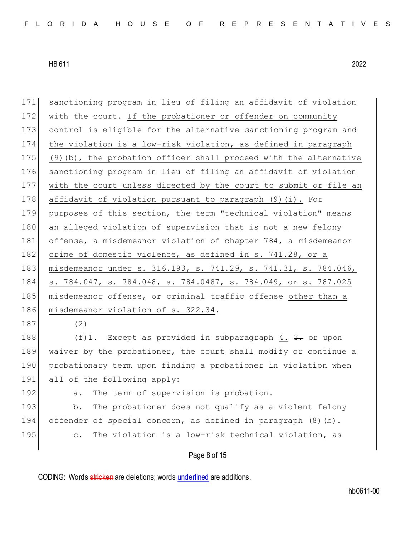171 sanctioning program in lieu of filing an affidavit of violation 172 with the court. If the probationer or offender on community 173 control is eligible for the alternative sanctioning program and 174 the violation is a low-risk violation, as defined in paragraph 175 (9)(b), the probation officer shall proceed with the alternative 176 sanctioning program in lieu of filing an affidavit of violation 177 with the court unless directed by the court to submit or file an 178 affidavit of violation pursuant to paragraph (9)(i). For 179 purposes of this section, the term "technical violation" means 180 an alleged violation of supervision that is not a new felony 181 offense, a misdemeanor violation of chapter 784, a misdemeanor 182 crime of domestic violence, as defined in s. 741.28, or a 183 misdemeanor under s. 316.193, s. 741.29, s. 741.31, s. 784.046, 184 s. 784.047, s. 784.048, s. 784.0487, s. 784.049, or s. 787.025 185 misdemeanor offense, or criminal traffic offense other than a 186 misdemeanor violation of s. 322.34. 187 (2) 188 (f)1. Except as provided in subparagraph 4.  $\frac{3}{2}$  or upon 189 waiver by the probationer, the court shall modify or continue a

190 probationary term upon finding a probationer in violation when 191 all of the following apply:

192 a. The term of supervision is probation.

193 b. The probationer does not qualify as a violent felony 194 offender of special concern, as defined in paragraph  $(8)(b)$ . 195 c. The violation is a low-risk technical violation, as

## Page 8 of 15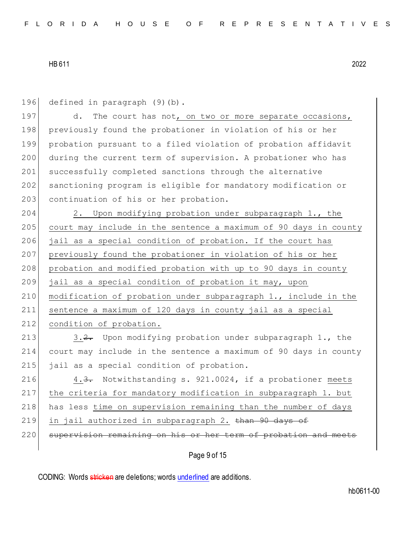196 defined in paragraph (9)(b).

197 d. The court has not, on two or more separate occasions, 198 previously found the probationer in violation of his or her 199 probation pursuant to a filed violation of probation affidavit 200 during the current term of supervision. A probationer who has 201 successfully completed sanctions through the alternative 202 sanctioning program is eligible for mandatory modification or 203 continuation of his or her probation.

204 2. Upon modifying probation under subparagraph 1., the 205 court may include in the sentence a maximum of 90 days in county 206 jail as a special condition of probation. If the court has 207 previously found the probationer in violation of his or her 208 probation and modified probation with up to 90 days in county 209 jail as a special condition of probation it may, upon 210 modification of probation under subparagraph 1., include in the 211 sentence a maximum of 120 days in county jail as a special 212 condition of probation.

213 3.2. Upon modifying probation under subparagraph 1., the 214 court may include in the sentence a maximum of 90 days in county 215 jail as a special condition of probation.

216 4.3. Notwithstanding s. 921.0024, if a probationer meets 217 the criteria for mandatory modification in subparagraph 1. but 218 has less time on supervision remaining than the number of days 219 in jail authorized in subparagraph 2. than 90 days of

220 supervision remaining on his or her term of probation and meets

# Page 9 of 15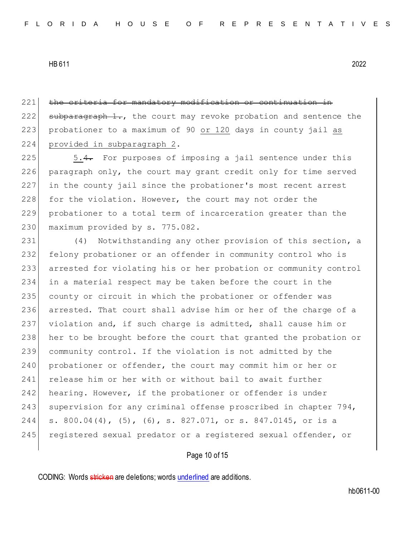221 the criteria for mandatory modification or continuation in 222 subparagraph 1., the court may revoke probation and sentence the 223 probationer to a maximum of 90 or 120 days in county jail as 224 provided in subparagraph 2.

 5.4. For purposes of imposing a jail sentence under this paragraph only, the court may grant credit only for time served in the county jail since the probationer's most recent arrest 228 for the violation. However, the court may not order the probationer to a total term of incarceration greater than the 230 maximum provided by s. 775.082.

231 (4) Notwithstanding any other provision of this section, a 232 felony probationer or an offender in community control who is 233 arrested for violating his or her probation or community control 234 in a material respect may be taken before the court in the 235 county or circuit in which the probationer or offender was 236 arrested. That court shall advise him or her of the charge of a 237 violation and, if such charge is admitted, shall cause him or 238 her to be brought before the court that granted the probation or 239 community control. If the violation is not admitted by the 240 probationer or offender, the court may commit him or her or 241 release him or her with or without bail to await further 242 hearing. However, if the probationer or offender is under 243 supervision for any criminal offense proscribed in chapter 794, 244 s. 800.04(4), (5), (6), s. 827.071, or s. 847.0145, or is a 245 registered sexual predator or a registered sexual offender, or

#### Page 10 of 15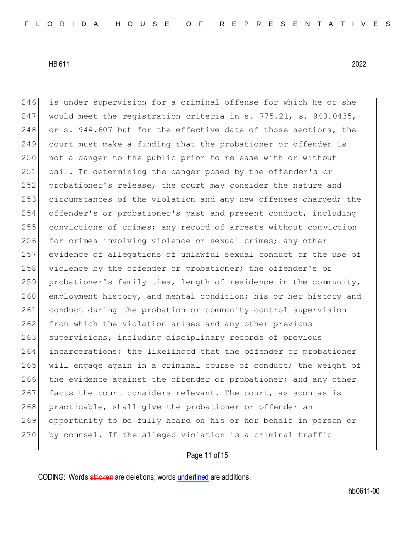246 is under supervision for a criminal offense for which he or she 247 would meet the registration criteria in s. 775.21, s. 943.0435, 248 or s. 944.607 but for the effective date of those sections, the 249 court must make a finding that the probationer or offender is 250 not a danger to the public prior to release with or without 251 bail. In determining the danger posed by the offender's or 252 probationer's release, the court may consider the nature and 253 circumstances of the violation and any new offenses charged; the 254 offender's or probationer's past and present conduct, including 255 convictions of crimes; any record of arrests without conviction 256 for crimes involving violence or sexual crimes; any other 257 evidence of allegations of unlawful sexual conduct or the use of 258 violence by the offender or probationer; the offender's or 259 probationer's family ties, length of residence in the community, 260 employment history, and mental condition; his or her history and 261 conduct during the probation or community control supervision 262 from which the violation arises and any other previous 263 supervisions, including disciplinary records of previous 264 incarcerations; the likelihood that the offender or probationer 265 will engage again in a criminal course of conduct; the weight of 266 the evidence against the offender or probationer; and any other 267 facts the court considers relevant. The court, as soon as is 268 practicable, shall give the probationer or offender an 269 opportunity to be fully heard on his or her behalf in person or 270 by counsel. If the alleged violation is a criminal traffic

# Page 11 of 15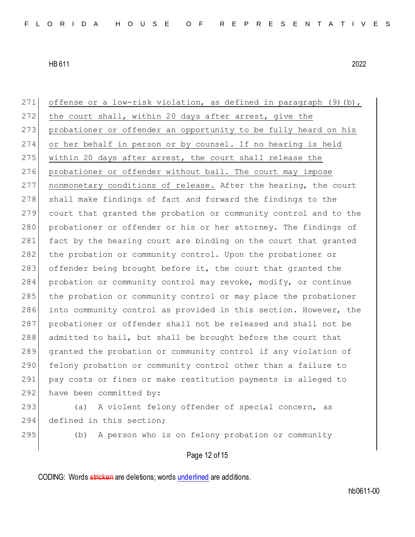| 271 | offense or a low-risk violation, as defined in paragraph (9) (b), |
|-----|-------------------------------------------------------------------|
| 272 | the court shall, within 20 days after arrest, give the            |
| 273 | probationer or offender an opportunity to be fully heard on his   |
| 274 | or her behalf in person or by counsel. If no hearing is held      |
| 275 | within 20 days after arrest, the court shall release the          |
| 276 | probationer or offender without bail. The court may impose        |
| 277 | nonmonetary conditions of release. After the hearing, the court   |
| 278 | shall make findings of fact and forward the findings to the       |
| 279 | court that granted the probation or community control and to the  |
| 280 | probationer or offender or his or her attorney. The findings of   |
| 281 | fact by the hearing court are binding on the court that granted   |
| 282 | the probation or community control. Upon the probationer or       |
| 283 | offender being brought before it, the court that granted the      |
| 284 | probation or community control may revoke, modify, or continue    |
| 285 | the probation or community control or may place the probationer   |
| 286 | into community control as provided in this section. However, the  |
| 287 | probationer or offender shall not be released and shall not be    |
| 288 | admitted to bail, but shall be brought before the court that      |
| 289 | granted the probation or community control if any violation of    |
| 290 | felony probation or community control other than a failure to     |
| 291 | pay costs or fines or make restitution payments is alleged to     |
| 292 | have been committed by:                                           |
| 293 | A violent felony offender of special concern, as<br>(a)           |
| 294 | defined in this section;                                          |
| 295 | A person who is on felony probation or community<br>(b)           |
|     |                                                                   |

# Page 12 of 15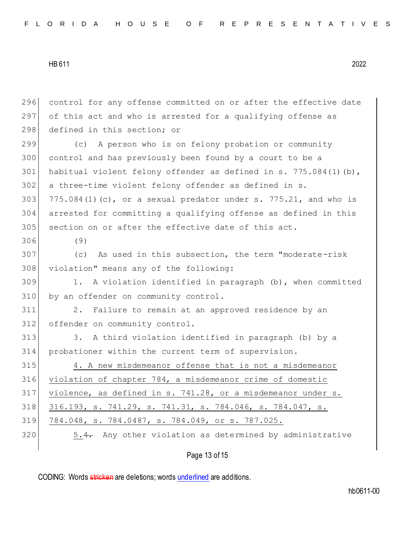|  |  |  |  |  |  | FLORIDA HOUSE OF REPRESENTATIVES |  |  |  |  |  |  |  |  |
|--|--|--|--|--|--|----------------------------------|--|--|--|--|--|--|--|--|
|--|--|--|--|--|--|----------------------------------|--|--|--|--|--|--|--|--|

 control for any offense committed on or after the effective date of this act and who is arrested for a qualifying offense as 298 defined in this section; or (c) A person who is on felony probation or community control and has previously been found by a court to be a 301 habitual violent felony offender as defined in s. 775.084(1)(b), a three-time violent felony offender as defined in s.  $775.084(1)(c)$ , or a sexual predator under s. 775.21, and who is arrested for committing a qualifying offense as defined in this section on or after the effective date of this act. 306 (9) (c) As used in this subsection, the term "moderate-risk 308 violation" means any of the following: 1. A violation identified in paragraph (b), when committed 310 by an offender on community control. 2. Failure to remain at an approved residence by an offender on community control. 313 3. A third violation identified in paragraph (b) by a probationer within the current term of supervision. 4. A new misdemeanor offense that is not a misdemeanor violation of chapter 784, a misdemeanor crime of domestic violence, as defined in s. 741.28, or a misdemeanor under s. 318 316.193, s. 741.29, s. 741.31, s. 784.046, s. 784.047, s. 784.048, s. 784.0487, s. 784.049, or s. 787.025. 320 5.4. Any other violation as determined by administrative

Page 13 of 15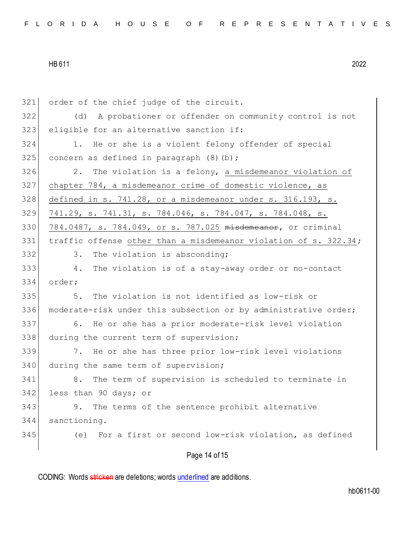| 321 | order of the chief judge of the circuit.                         |
|-----|------------------------------------------------------------------|
| 322 | A probationer or offender on community control is not<br>(d)     |
| 323 | eligible for an alternative sanction if:                         |
| 324 | 1. He or she is a violent felony offender of special             |
| 325 | concern as defined in paragraph (8)(b);                          |
| 326 | 2. The violation is a felony, a misdemeanor violation of         |
| 327 | chapter 784, a misdemeanor crime of domestic violence, as        |
| 328 | defined in s. 741.28, or a misdemeanor under s. 316.193, s.      |
| 329 | 741.29, s. 741.31, s. 784.046, s. 784.047, s. 784.048, s.        |
| 330 | 784.0487, s. 784.049, or s. 787.025 misdemeanor, or criminal     |
| 331 | traffic offense other than a misdemeanor violation of s. 322.34; |
| 332 | The violation is absconding;<br>3.                               |
| 333 | 4. The violation is of a stay-away order or no-contact           |
| 334 | order;                                                           |
| 335 | The violation is not identified as low-risk or<br>5.             |
| 336 | moderate-risk under this subsection or by administrative order;  |
| 337 | 6. He or she has a prior moderate-risk level violation           |
| 338 | during the current term of supervision;                          |
| 339 | 7. He or she has three prior low-risk level violations           |
| 340 | during the same term of supervision;                             |
| 341 | 8. The term of supervision is scheduled to terminate in          |
| 342 | less than 90 days; or                                            |
| 343 | The terms of the sentence prohibit alternative<br>9.             |
| 344 | sanctioning.                                                     |
| 345 | For a first or second low-risk violation, as defined<br>(e)      |
|     | Page 14 of 15                                                    |